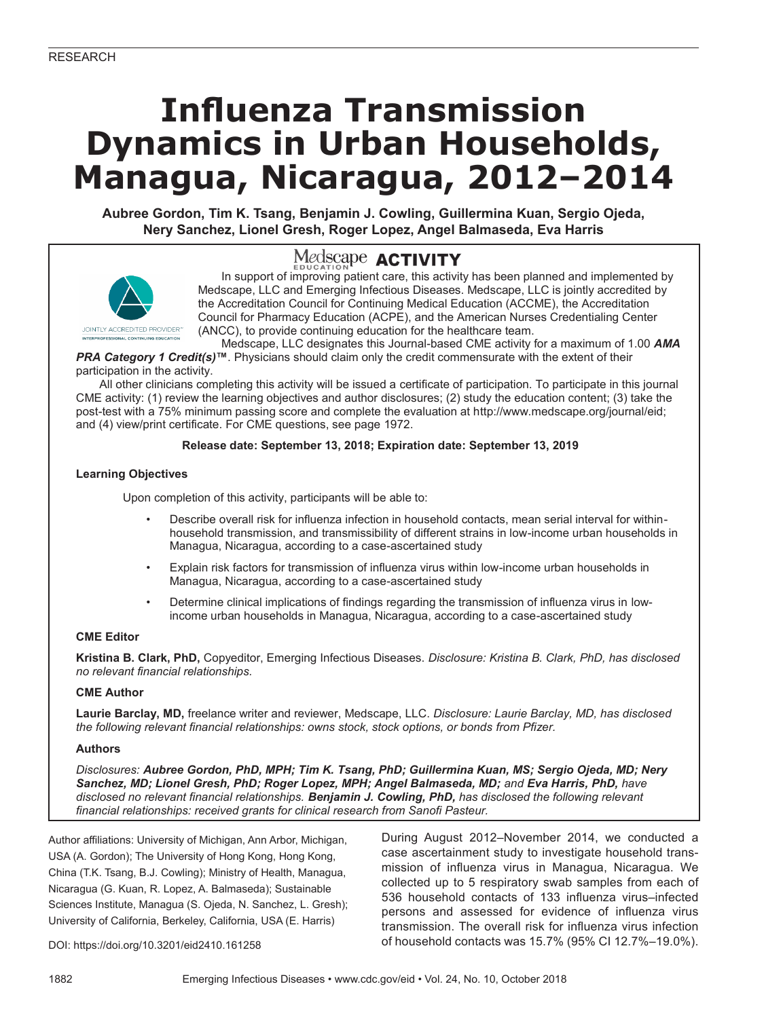# **Influenza Transmission Dynamics in Urban Households, Managua, Nicaragua, 2012–2014**

**Aubree Gordon, Tim K. Tsang, Benjamin J. Cowling, Guillermina Kuan, Sergio Ojeda, Nery Sanchez, Lionel Gresh, Roger Lopez, Angel Balmaseda, Eva Harris**





In support of improving patient care, this activity has been planned and implemented by Medscape, LLC and Emerging Infectious Diseases. Medscape, LLC is jointly accredited by the Accreditation Council for Continuing Medical Education (ACCME), the Accreditation Council for Pharmacy Education (ACPE), and the American Nurses Credentialing Center (ANCC), to provide continuing education for the healthcare team.

Medscape, LLC designates this Journal-based CME activity for a maximum of 1.00 *AMA PRA Category 1 Credit(s)***™**. Physicians should claim only the credit commensurate with the extent of their participation in the activity.

All other clinicians completing this activity will be issued a certificate of participation. To participate in this journal CME activity: (1) review the learning objectives and author disclosures; (2) study the education content; (3) take the post-test with a 75% minimum passing score and complete the evaluation at http://www.medscape.org/journal/eid; and (4) view/print certificate. For CME questions, see page 1972.

## **Release date: September 13, 2018; Expiration date: September 13, 2019**

## **Learning Objectives**

Upon completion of this activity, participants will be able to:

- Describe overall risk for influenza infection in household contacts, mean serial interval for withinhousehold transmission, and transmissibility of different strains in low-income urban households in Managua, Nicaragua, according to a case-ascertained study
- Explain risk factors for transmission of influenza virus within low-income urban households in Managua, Nicaragua, according to a case-ascertained study
- Determine clinical implications of findings regarding the transmission of influenza virus in lowincome urban households in Managua, Nicaragua, according to a case-ascertained study

#### **CME Editor**

**Kristina B. Clark, PhD,** Copyeditor, Emerging Infectious Diseases. *Disclosure: Kristina B. Clark, PhD, has disclosed no relevant financial relationships.*

#### **CME Author**

**Laurie Barclay, MD,** freelance writer and reviewer, Medscape, LLC. *Disclosure: Laurie Barclay, MD, has disclosed the following relevant financial relationships: owns stock, stock options, or bonds from Pfizer.*

#### **Authors**

*Disclosures: Aubree Gordon, PhD, MPH; Tim K. Tsang, PhD; Guillermina Kuan, MS; Sergio Ojeda, MD; Nery Sanchez, MD; Lionel Gresh, PhD; Roger Lopez, MPH; Angel Balmaseda, MD; and Eva Harris, PhD, have disclosed no relevant financial relationships. Benjamin J. Cowling, PhD, has disclosed the following relevant financial relationships: received grants for clinical research from Sanofi Pasteur.*

Author affiliations: University of Michigan, Ann Arbor, Michigan, USA (A. Gordon); The University of Hong Kong, Hong Kong, China (T.K. Tsang, B.J. Cowling); Ministry of Health, Managua, Nicaragua (G. Kuan, R. Lopez, A. Balmaseda); Sustainable Sciences Institute, Managua (S. Ojeda, N. Sanchez, L. Gresh); University of California, Berkeley, California, USA (E. Harris)

During August 2012–November 2014, we conducted a case ascertainment study to investigate household transmission of influenza virus in Managua, Nicaragua. We collected up to 5 respiratory swab samples from each of 536 household contacts of 133 influenza virus–infected persons and assessed for evidence of influenza virus transmission. The overall risk for influenza virus infection of household contacts was 15.7% (95% CI 12.7%–19.0%).

DOI: https://doi.org/10.3201/eid2410.161258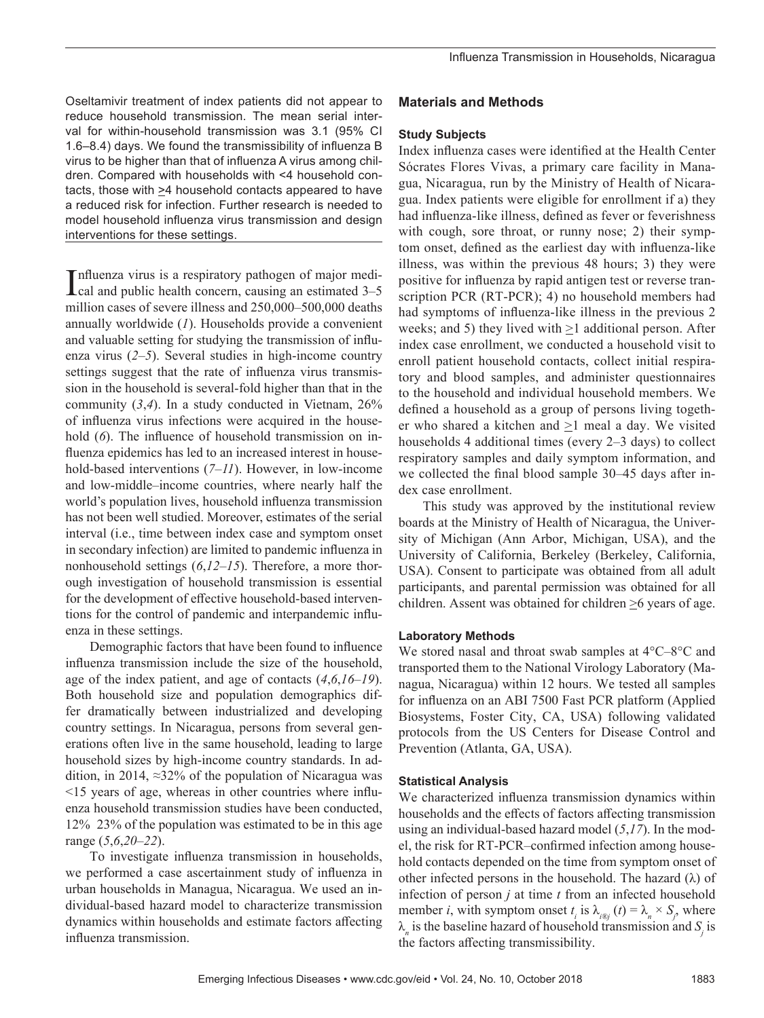Oseltamivir treatment of index patients did not appear to reduce household transmission. The mean serial interval for within-household transmission was 3.1 (95% CI 1.6–8.4) days. We found the transmissibility of influenza B virus to be higher than that of influenza A virus among children. Compared with households with <4 household contacts, those with  $\geq$ 4 household contacts appeared to have a reduced risk for infection. Further research is needed to model household influenza virus transmission and design interventions for these settings.

Influenza virus is a respiratory pathogen of major medi-<br>cal and public health concern, causing an estimated 3-5 cal and public health concern, causing an estimated 3–5 million cases of severe illness and 250,000–500,000 deaths annually worldwide (*1*). Households provide a convenient and valuable setting for studying the transmission of influenza virus (*2*–*5*). Several studies in high-income country settings suggest that the rate of influenza virus transmission in the household is several-fold higher than that in the community (*3*,*4*). In a study conducted in Vietnam, 26% of influenza virus infections were acquired in the household (6). The influence of household transmission on influenza epidemics has led to an increased interest in household-based interventions (*7*–*11*). However, in low-income and low-middle–income countries, where nearly half the world's population lives, household influenza transmission has not been well studied. Moreover, estimates of the serial interval (i.e., time between index case and symptom onset in secondary infection) are limited to pandemic influenza in nonhousehold settings (*6*,*12*–*15*). Therefore, a more thorough investigation of household transmission is essential for the development of effective household-based interventions for the control of pandemic and interpandemic influenza in these settings.

Demographic factors that have been found to influence influenza transmission include the size of the household, age of the index patient, and age of contacts (*4*,*6*,*16*–*19*). Both household size and population demographics differ dramatically between industrialized and developing country settings. In Nicaragua, persons from several generations often live in the same household, leading to large household sizes by high-income country standards. In addition, in 2014, ≈32% of the population of Nicaragua was <15 years of age, whereas in other countries where influenza household transmission studies have been conducted, 12% 23% of the population was estimated to be in this age range (*5*,*6*,*20*–*22*).

To investigate influenza transmission in households, we performed a case ascertainment study of influenza in urban households in Managua, Nicaragua. We used an individual-based hazard model to characterize transmission dynamics within households and estimate factors affecting influenza transmission.

## **Materials and Methods**

## **Study Subjects**

Index influenza cases were identified at the Health Center Sócrates Flores Vivas, a primary care facility in Managua, Nicaragua, run by the Ministry of Health of Nicaragua. Index patients were eligible for enrollment if a) they had influenza-like illness, defined as fever or feverishness with cough, sore throat, or runny nose; 2) their symptom onset, defined as the earliest day with influenza-like illness, was within the previous 48 hours; 3) they were positive for influenza by rapid antigen test or reverse transcription PCR (RT-PCR); 4) no household members had had symptoms of influenza-like illness in the previous 2 weeks; and 5) they lived with  $\geq 1$  additional person. After index case enrollment, we conducted a household visit to enroll patient household contacts, collect initial respiratory and blood samples, and administer questionnaires to the household and individual household members. We defined a household as a group of persons living together who shared a kitchen and  $\geq 1$  meal a day. We visited households 4 additional times (every 2–3 days) to collect respiratory samples and daily symptom information, and we collected the final blood sample 30–45 days after index case enrollment.

This study was approved by the institutional review boards at the Ministry of Health of Nicaragua, the University of Michigan (Ann Arbor, Michigan, USA), and the University of California, Berkeley (Berkeley, California, USA). Consent to participate was obtained from all adult participants, and parental permission was obtained for all children. Assent was obtained for children  $\geq 6$  years of age.

## **Laboratory Methods**

We stored nasal and throat swab samples at 4°C–8°C and transported them to the National Virology Laboratory (Managua, Nicaragua) within 12 hours. We tested all samples for influenza on an ABI 7500 Fast PCR platform (Applied Biosystems, Foster City, CA, USA) following validated protocols from the US Centers for Disease Control and Prevention (Atlanta, GA, USA).

## **Statistical Analysis**

We characterized influenza transmission dynamics within households and the effects of factors affecting transmission using an individual-based hazard model (*5*,*17*). In the model, the risk for RT-PCR–confirmed infection among household contacts depended on the time from symptom onset of other infected persons in the household. The hazard  $(\lambda)$  of infection of person *j* at time *t* from an infected household member *i*, with symptom onset  $t_i$  is  $\lambda_{i\circledcirc j}$  (*t*) =  $\lambda_n \times S_j$ , where  $\lambda_n$  is the baseline hazard of household transmission and  $S_j$  is the factors affecting transmissibility.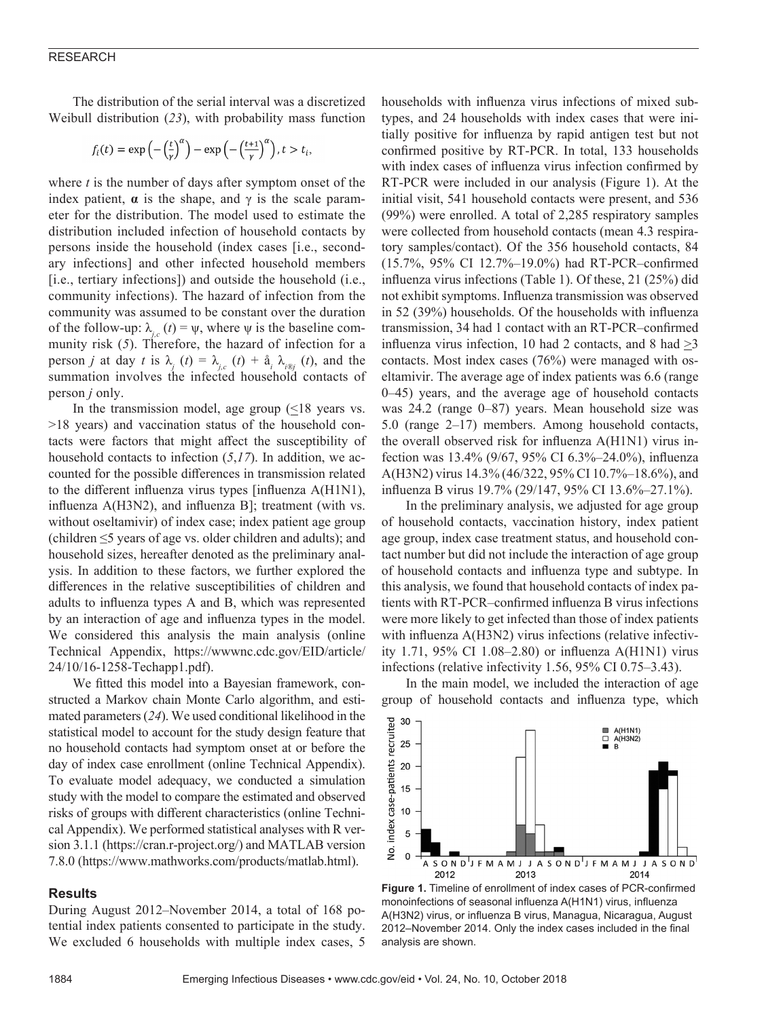#### RESEARCH

The distribution of the serial interval was a discretized Weibull distribution (*23*), with probability mass function

$$
f_i(t) = \exp\left(-\left(\frac{t}{\gamma}\right)^{\alpha}\right) - \exp\left(-\left(\frac{t+1}{\gamma}\right)^{\alpha}\right), t > t_i,
$$

where *t* is the number of days after symptom onset of the index patient,  $\alpha$  is the shape, and  $\gamma$  is the scale parameter for the distribution. The model used to estimate the distribution included infection of household contacts by persons inside the household (index cases [i.e., secondary infections] and other infected household members [i.e., tertiary infections]) and outside the household (i.e., community infections). The hazard of infection from the community was assumed to be constant over the duration of the follow-up:  $\lambda_i(t) = \psi$ , where  $\psi$  is the baseline community risk (*5*). Therefore, the hazard of infection for a person *j* at day *t* is  $\lambda_j$  (*t*) =  $\lambda_{j,c}$  (*t*) +  $\hat{a}_i$ ,  $\lambda_{i\circ j}$  (*t*), and the summation involves the infected household contacts of person *j* only.

In the transmission model, age group  $(\leq 18$  years vs. >18 years) and vaccination status of the household contacts were factors that might affect the susceptibility of household contacts to infection (*5*,*17*). In addition, we accounted for the possible differences in transmission related to the different influenza virus types [influenza A(H1N1), influenza A(H3N2), and influenza B]; treatment (with vs. without oseltamivir) of index case; index patient age group (children ≤5 years of age vs. older children and adults); and household sizes, hereafter denoted as the preliminary analysis. In addition to these factors, we further explored the differences in the relative susceptibilities of children and adults to influenza types A and B, which was represented by an interaction of age and influenza types in the model. We considered this analysis the main analysis (online Technical Appendix, https://wwwnc.cdc.gov/EID/article/ 24/10/16-1258-Techapp1.pdf).

We fitted this model into a Bayesian framework, constructed a Markov chain Monte Carlo algorithm, and estimated parameters (*24*). We used conditional likelihood in the statistical model to account for the study design feature that no household contacts had symptom onset at or before the day of index case enrollment (online Technical Appendix). To evaluate model adequacy, we conducted a simulation study with the model to compare the estimated and observed risks of groups with different characteristics (online Technical Appendix). We performed statistical analyses with R version 3.1.1 (https://cran.r-project.org/) and MATLAB version 7.8.0 (https://www.mathworks.com/products/matlab.html).

#### **Results**

During August 2012–November 2014, a total of 168 potential index patients consented to participate in the study. We excluded 6 households with multiple index cases, 5 households with influenza virus infections of mixed subtypes, and 24 households with index cases that were initially positive for influenza by rapid antigen test but not confirmed positive by RT-PCR. In total, 133 households with index cases of influenza virus infection confirmed by RT-PCR were included in our analysis (Figure 1). At the initial visit, 541 household contacts were present, and 536 (99%) were enrolled. A total of 2,285 respiratory samples were collected from household contacts (mean 4.3 respiratory samples/contact). Of the 356 household contacts, 84 (15.7%, 95% CI 12.7%–19.0%) had RT-PCR–confirmed influenza virus infections (Table 1). Of these, 21 (25%) did not exhibit symptoms. Influenza transmission was observed in 52 (39%) households. Of the households with influenza transmission, 34 had 1 contact with an RT-PCR–confirmed influenza virus infection, 10 had 2 contacts, and 8 had  $>3$ contacts. Most index cases (76%) were managed with oseltamivir. The average age of index patients was 6.6 (range 0–45) years, and the average age of household contacts was 24.2 (range 0–87) years. Mean household size was 5.0 (range 2–17) members. Among household contacts, the overall observed risk for influenza A(H1N1) virus infection was 13.4% (9/67, 95% CI 6.3%–24.0%), influenza A(H3N2) virus 14.3% (46/322, 95% CI 10.7%–18.6%), and influenza B virus 19.7% (29/147, 95% CI 13.6%–27.1%).

In the preliminary analysis, we adjusted for age group of household contacts, vaccination history, index patient age group, index case treatment status, and household contact number but did not include the interaction of age group of household contacts and influenza type and subtype. In this analysis, we found that household contacts of index patients with RT-PCR–confirmed influenza B virus infections were more likely to get infected than those of index patients with influenza A(H3N2) virus infections (relative infectivity 1.71, 95% CI 1.08–2.80) or influenza A(H1N1) virus infections (relative infectivity 1.56, 95% CI 0.75–3.43).

In the main model, we included the interaction of age group of household contacts and influenza type, which



**Figure 1.** Timeline of enrollment of index cases of PCR-confirmed monoinfections of seasonal influenza A(H1N1) virus, influenza A(H3N2) virus, or influenza B virus, Managua, Nicaragua, August 2012–November 2014. Only the index cases included in the final analysis are shown.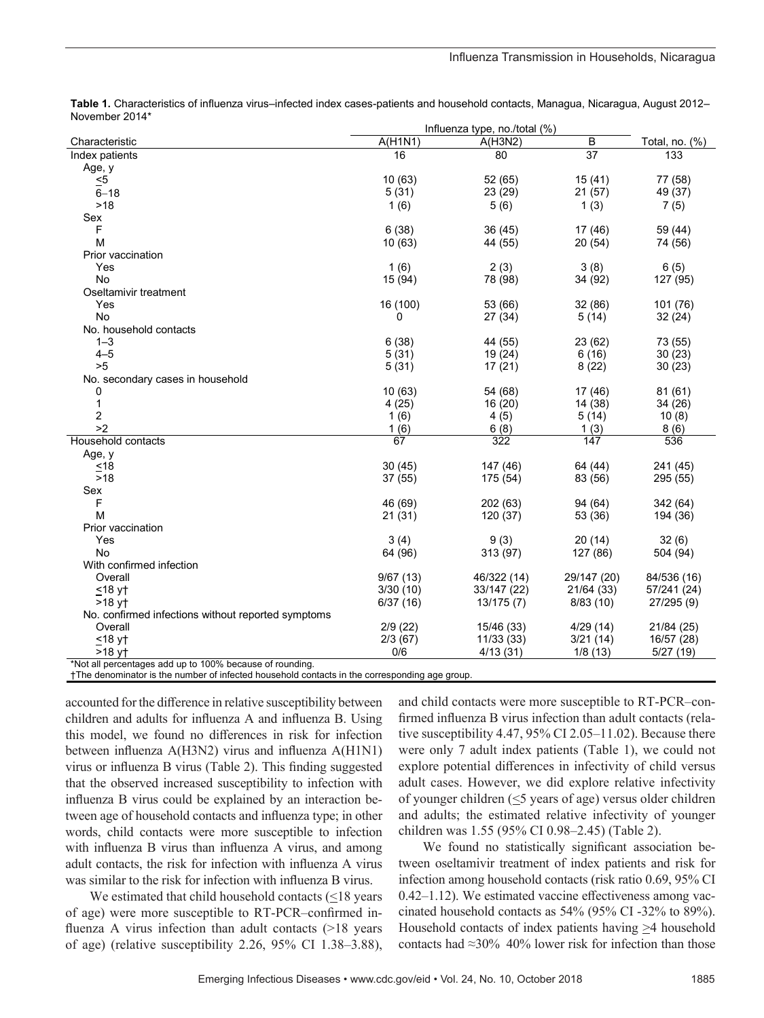|                                                         | Influenza type, no./total (%) |             |                 |                   |
|---------------------------------------------------------|-------------------------------|-------------|-----------------|-------------------|
| Characteristic                                          | A(H1N1)                       | A(H3N2)     | B               | Total, no. $(\%)$ |
| Index patients                                          | 16                            | 80          | $\overline{37}$ | 133               |
| Age, y                                                  |                               |             |                 |                   |
| $\leq 5$                                                | 10(63)                        | 52 (65)     | 15(41)          | 77 (58)           |
| $6 - 18$                                                | 5(31)                         | 23 (29)     | 21(57)          | 49 (37)           |
| >18                                                     | 1(6)                          | 5(6)        | 1(3)            | 7(5)              |
| Sex                                                     |                               |             |                 |                   |
| F                                                       | 6(38)                         | 36(45)      | 17 (46)         | 59 (44)           |
| М                                                       | 10(63)                        | 44 (55)     | 20(54)          | 74 (56)           |
| Prior vaccination                                       |                               |             |                 |                   |
| Yes                                                     | 1(6)                          | 2(3)        | 3(8)            | 6(5)              |
| No                                                      | 15 (94)                       | 78 (98)     | 34 (92)         | 127 (95)          |
| Oseltamivir treatment                                   |                               |             |                 |                   |
| Yes                                                     | 16 (100)                      | 53 (66)     | 32 (86)         | 101 (76)          |
| <b>No</b>                                               | 0                             | 27 (34)     | 5(14)           | 32(24)            |
| No. household contacts                                  |                               |             |                 |                   |
| $1 - 3$                                                 | 6(38)                         | 44 (55)     | 23 (62)         | 73 (55)           |
| $4 - 5$                                                 | 5(31)                         | 19 (24)     | 6(16)           | 30(23)            |
| >5                                                      | 5(31)                         | 17(21)      | 8(22)           | 30(23)            |
| No. secondary cases in household                        |                               |             |                 |                   |
| 0                                                       | 10(63)                        | 54 (68)     | 17 (46)         | 81(61)            |
| 1                                                       | 4(25)                         | 16 (20)     | 14 (38)         | 34 (26)           |
| 2                                                       | 1(6)                          | 4(5)        | 5(14)           | 10(8)             |
| >2                                                      | 1(6)                          | 6(8)        | 1(3)            | 8(6)              |
| Household contacts                                      | 67                            | 322         | 147             | 536               |
| Age, y                                                  |                               |             |                 |                   |
| ~18                                                     | 30(45)                        | 147 (46)    | 64 (44)         | 241 (45)          |
| >18                                                     | 37(55)                        | 175 (54)    | 83 (56)         | 295 (55)          |
| Sex                                                     |                               |             |                 |                   |
| F                                                       | 46 (69)                       | 202(63)     | 94 (64)         | 342 (64)          |
| M                                                       | 21(31)                        | 120 (37)    | 53 (36)         | 194 (36)          |
| Prior vaccination                                       |                               |             |                 |                   |
| Yes                                                     | 3(4)                          | 9(3)        | 20(14)          | 32(6)             |
| No                                                      | 64 (96)                       | 313 (97)    | 127 (86)        | 504 (94)          |
| With confirmed infection                                |                               |             |                 |                   |
| Overall                                                 | 9/67(13)                      | 46/322 (14) | 29/147 (20)     | 84/536 (16)       |
| $≤18$ y†                                                | 3/30(10)                      | 33/147 (22) | 21/64 (33)      | 57/241 (24)       |
| $>18$ vt                                                | 6/37(16)                      | 13/175(7)   | 8/83(10)        | 27/295 (9)        |
| No. confirmed infections without reported symptoms      |                               |             |                 |                   |
| Overall                                                 | 2/9(22)                       | 15/46 (33)  | 4/29(14)        | 21/84 (25)        |
| $\leq$ 18 y†                                            | 2/3(67)                       | 11/33(33)   | 3/21(14)        | 16/57 (28)        |
| $>18$ yt                                                | 0/6                           | 4/13(31)    | 1/8(13)         | 5/27(19)          |
| *Net all perceptages add up to 100% because of reunding |                               |             |                 |                   |

**Table 1.** Characteristics of influenza virus–infected index cases-patients and household contacts, Managua, Nicaragua, August 2012– November 2014\*

\*Not all percentages add up to 100% because of rounding.

†The denominator is the number of infected household contacts in the corresponding age group.

accounted for the difference in relative susceptibility between children and adults for influenza A and influenza B. Using this model, we found no differences in risk for infection between influenza A(H3N2) virus and influenza A(H1N1) virus or influenza B virus (Table 2). This finding suggested that the observed increased susceptibility to infection with influenza B virus could be explained by an interaction between age of household contacts and influenza type; in other words, child contacts were more susceptible to infection with influenza B virus than influenza A virus, and among adult contacts, the risk for infection with influenza A virus was similar to the risk for infection with influenza B virus.

We estimated that child household contacts  $(\leq 18$  years of age) were more susceptible to RT-PCR–confirmed influenza A virus infection than adult contacts (>18 years of age) (relative susceptibility 2.26, 95% CI 1.38–3.88),

and child contacts were more susceptible to RT-PCR–confirmed influenza B virus infection than adult contacts (relative susceptibility 4.47, 95% CI 2.05–11.02). Because there were only 7 adult index patients (Table 1), we could not explore potential differences in infectivity of child versus adult cases. However, we did explore relative infectivity of younger children (<5 years of age) versus older children and adults; the estimated relative infectivity of younger children was 1.55 (95% CI 0.98–2.45) (Table 2).

We found no statistically significant association between oseltamivir treatment of index patients and risk for infection among household contacts (risk ratio 0.69, 95% CI 0.42–1.12). We estimated vaccine effectiveness among vaccinated household contacts as 54% (95% CI -32% to 89%). Household contacts of index patients having >4 household contacts had ≈30% 40% lower risk for infection than those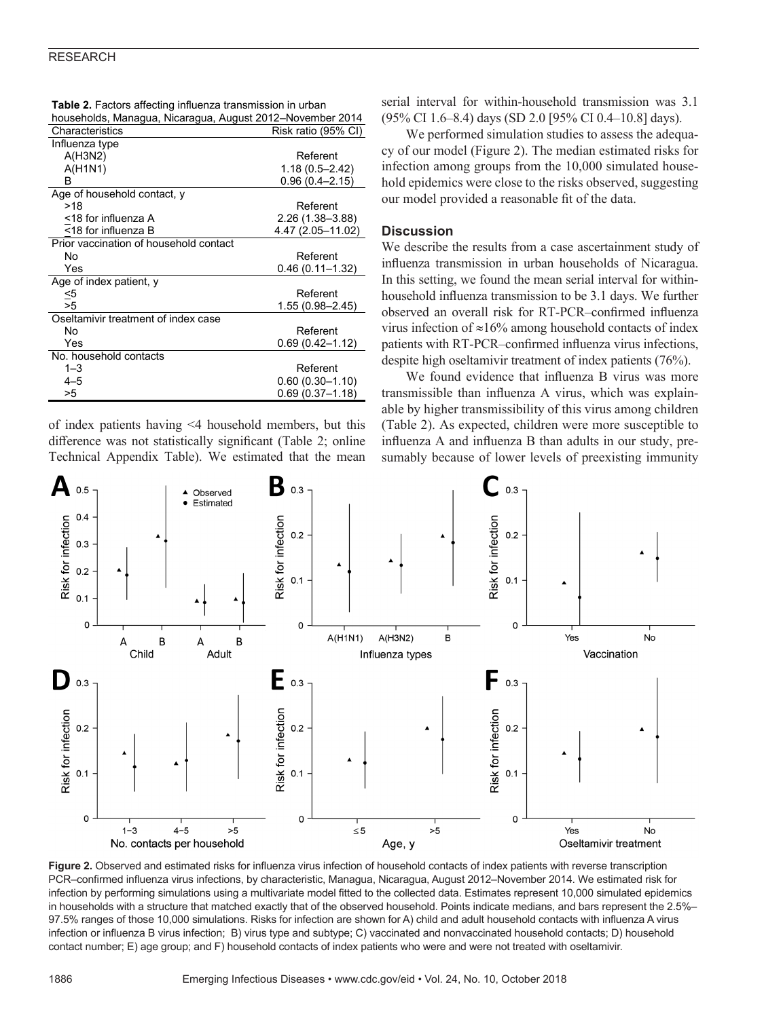#### RESEARCH

| households, Managua, Nicaragua, August 2012–November 2014 |                     |  |  |
|-----------------------------------------------------------|---------------------|--|--|
| Characteristics                                           | Risk ratio (95% CI) |  |  |
| Influenza type                                            |                     |  |  |
| A(H3N2)                                                   | Referent            |  |  |
| A(H1N1)                                                   | $1.18(0.5 - 2.42)$  |  |  |
| в                                                         | $0.96(0.4 - 2.15)$  |  |  |
| Age of household contact, y                               |                     |  |  |
| >18                                                       | Referent            |  |  |
| <18 for influenza A                                       | 2.26 (1.38–3.88)    |  |  |
| <18 for influenza B                                       | 4.47 (2.05-11.02)   |  |  |
| Prior vaccination of household contact                    |                     |  |  |
| Nο                                                        | Referent            |  |  |
| Yes                                                       | $0.46(0.11 - 1.32)$ |  |  |
| Age of index patient, y                                   |                     |  |  |
| ≤5                                                        | Referent            |  |  |
| >5                                                        | 1.55 (0.98-2.45)    |  |  |
| Oseltamivir treatment of index case                       |                     |  |  |
| No                                                        | Referent            |  |  |
| Yes                                                       | 0.69 (0.42–1.12)    |  |  |
| No. household contacts                                    |                     |  |  |
| $1 - 3$                                                   | Referent            |  |  |
| $4 - 5$                                                   | $0.60(0.30 - 1.10)$ |  |  |
| >5                                                        | $0.69(0.37 - 1.18)$ |  |  |

**Table 2.** Factors affecting influenza transmission in urban

of index patients having <4 household members, but this difference was not statistically significant (Table 2; online Technical Appendix Table). We estimated that the mean

serial interval for within-household transmission was 3.1 (95% CI 1.6–8.4) days (SD 2.0 [95% CI 0.4–10.8] days).

We performed simulation studies to assess the adequacy of our model (Figure 2). The median estimated risks for infection among groups from the 10,000 simulated household epidemics were close to the risks observed, suggesting our model provided a reasonable fit of the data.

## **Discussion**

We describe the results from a case ascertainment study of influenza transmission in urban households of Nicaragua. In this setting, we found the mean serial interval for withinhousehold influenza transmission to be 3.1 days. We further observed an overall risk for RT-PCR–confirmed influenza virus infection of ≈16% among household contacts of index patients with RT-PCR–confirmed influenza virus infections, despite high oseltamivir treatment of index patients (76%).

We found evidence that influenza B virus was more transmissible than influenza A virus, which was explainable by higher transmissibility of this virus among children (Table 2). As expected, children were more susceptible to influenza A and influenza B than adults in our study, presumably because of lower levels of preexisting immunity



**Figure 2.** Observed and estimated risks for influenza virus infection of household contacts of index patients with reverse transcription PCR–confirmed influenza virus infections, by characteristic, Managua, Nicaragua, August 2012–November 2014. We estimated risk for infection by performing simulations using a multivariate model fitted to the collected data. Estimates represent 10,000 simulated epidemics in households with a structure that matched exactly that of the observed household. Points indicate medians, and bars represent the 2.5%– 97.5% ranges of those 10,000 simulations. Risks for infection are shown for A) child and adult household contacts with influenza A virus infection or influenza B virus infection; B) virus type and subtype; C) vaccinated and nonvaccinated household contacts; D) household contact number; E) age group; and F) household contacts of index patients who were and were not treated with oseltamivir.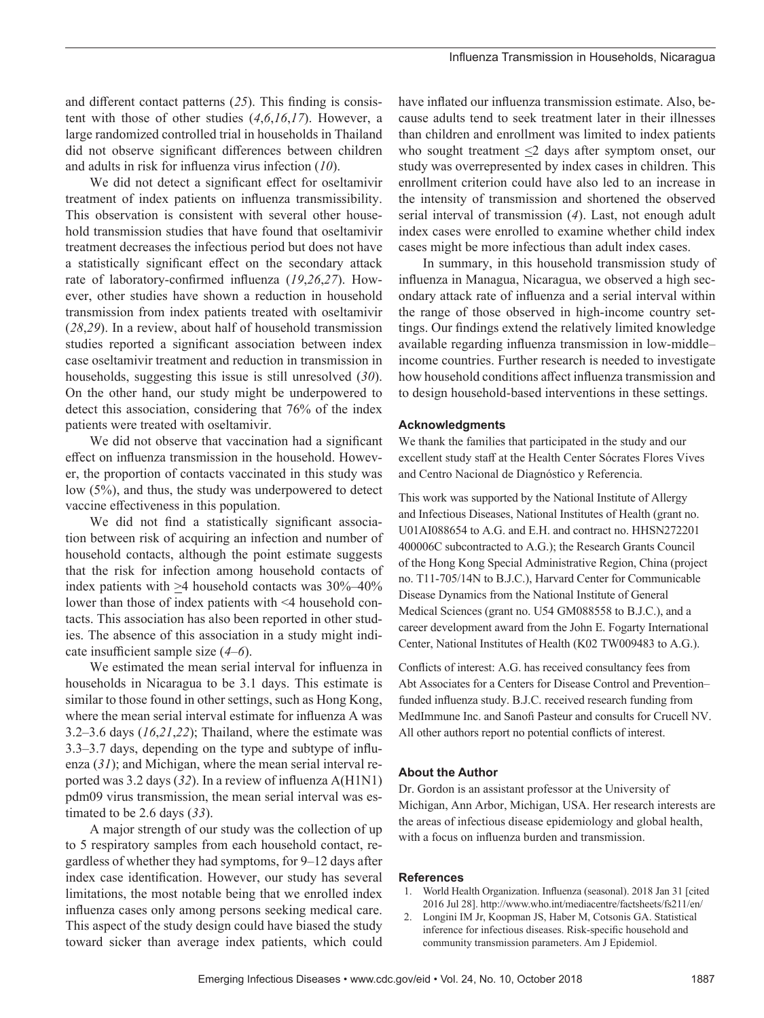and different contact patterns (*25*). This finding is consistent with those of other studies (*4*,*6*,*16*,*17*). However, a large randomized controlled trial in households in Thailand did not observe significant differences between children and adults in risk for influenza virus infection (*10*).

We did not detect a significant effect for oseltamivir treatment of index patients on influenza transmissibility. This observation is consistent with several other household transmission studies that have found that oseltamivir treatment decreases the infectious period but does not have a statistically significant effect on the secondary attack rate of laboratory-confirmed influenza (*19*,*26*,*27*). However, other studies have shown a reduction in household transmission from index patients treated with oseltamivir (*28*,*29*). In a review, about half of household transmission studies reported a significant association between index case oseltamivir treatment and reduction in transmission in households, suggesting this issue is still unresolved (*30*). On the other hand, our study might be underpowered to detect this association, considering that 76% of the index patients were treated with oseltamivir.

We did not observe that vaccination had a significant effect on influenza transmission in the household. However, the proportion of contacts vaccinated in this study was low (5%), and thus, the study was underpowered to detect vaccine effectiveness in this population.

We did not find a statistically significant association between risk of acquiring an infection and number of household contacts, although the point estimate suggests that the risk for infection among household contacts of index patients with  $>4$  household contacts was  $30\% - 40\%$ lower than those of index patients with <4 household contacts. This association has also been reported in other studies. The absence of this association in a study might indicate insufficient sample size (*4*–*6*).

We estimated the mean serial interval for influenza in households in Nicaragua to be 3.1 days. This estimate is similar to those found in other settings, such as Hong Kong, where the mean serial interval estimate for influenza A was 3.2–3.6 days (*16*,*21*,*22*); Thailand, where the estimate was 3.3–3.7 days, depending on the type and subtype of influenza (*31*); and Michigan, where the mean serial interval reported was 3.2 days (*32*). In a review of influenza A(H1N1) pdm09 virus transmission, the mean serial interval was estimated to be 2.6 days (*33*).

A major strength of our study was the collection of up to 5 respiratory samples from each household contact, regardless of whether they had symptoms, for 9–12 days after index case identification. However, our study has several limitations, the most notable being that we enrolled index influenza cases only among persons seeking medical care. This aspect of the study design could have biased the study toward sicker than average index patients, which could have inflated our influenza transmission estimate. Also, because adults tend to seek treatment later in their illnesses than children and enrollment was limited to index patients who sought treatment  $\leq$  days after symptom onset, our study was overrepresented by index cases in children. This enrollment criterion could have also led to an increase in the intensity of transmission and shortened the observed serial interval of transmission (*4*). Last, not enough adult index cases were enrolled to examine whether child index cases might be more infectious than adult index cases.

In summary, in this household transmission study of influenza in Managua, Nicaragua, we observed a high secondary attack rate of influenza and a serial interval within the range of those observed in high-income country settings. Our findings extend the relatively limited knowledge available regarding influenza transmission in low-middle– income countries. Further research is needed to investigate how household conditions affect influenza transmission and to design household-based interventions in these settings.

#### **Acknowledgments**

We thank the families that participated in the study and our excellent study staff at the Health Center Sócrates Flores Vives and Centro Nacional de Diagnóstico y Referencia.

This work was supported by the National Institute of Allergy and Infectious Diseases, National Institutes of Health (grant no. U01AI088654 to A.G. and E.H. and contract no. HHSN272201 400006C subcontracted to A.G.); the Research Grants Council of the Hong Kong Special Administrative Region, China (project no. T11-705/14N to B.J.C.), Harvard Center for Communicable Disease Dynamics from the National Institute of General Medical Sciences (grant no. U54 GM088558 to B.J.C.), and a career development award from the John E. Fogarty International Center, National Institutes of Health (K02 TW009483 to A.G.).

Conflicts of interest: A.G. has received consultancy fees from Abt Associates for a Centers for Disease Control and Prevention– funded influenza study. B.J.C. received research funding from MedImmune Inc. and Sanofi Pasteur and consults for Crucell NV. All other authors report no potential conflicts of interest.

## **About the Author**

Dr. Gordon is an assistant professor at the University of Michigan, Ann Arbor, Michigan, USA. Her research interests are the areas of infectious disease epidemiology and global health, with a focus on influenza burden and transmission.

#### **References**

- 1. World Health Organization. Influenza (seasonal). 2018 Jan 31 [cited 2016 Jul 28]. http://www.who.int/mediacentre/factsheets/fs211/en/
- 2. Longini IM Jr, Koopman JS, Haber M, Cotsonis GA. Statistical inference for infectious diseases. Risk-specific household and community transmission parameters. Am J Epidemiol.